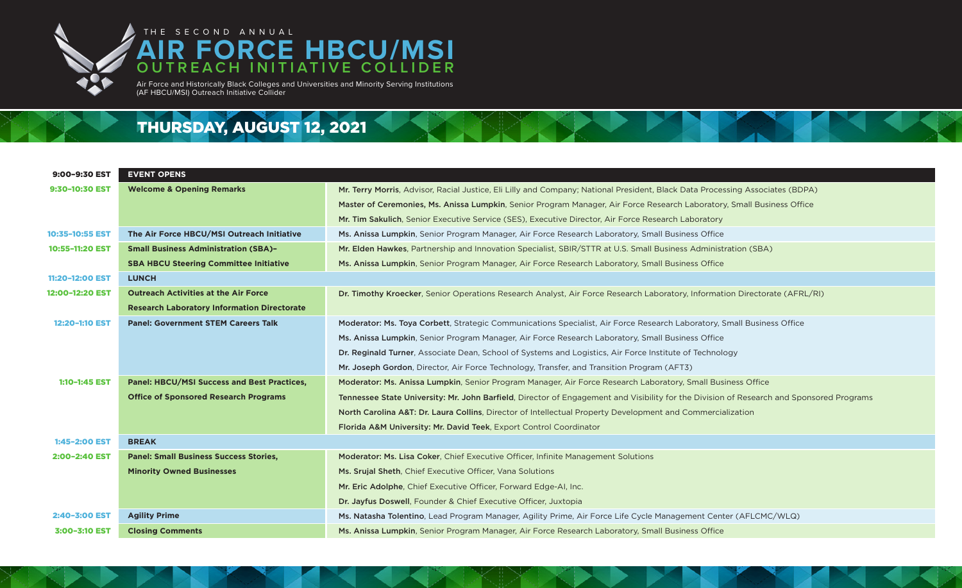

## THE SECOND ANNUAL **AIR FORCE HBCU/MSI OUTREACH INITIATIVE COLLIDER**

Air Force and Historically Black Colleges and Universities and Minority Serving Institutions (AF HBCU/MSI) Outreach Initiative Collider

## THURSDAY, AUGUST 12, 2021

| 9:00-9:30 EST   | <b>EVENT OPENS</b>                                 |                                                                                                 |
|-----------------|----------------------------------------------------|-------------------------------------------------------------------------------------------------|
| 9:30-10:30 EST  | <b>Welcome &amp; Opening Remarks</b>               | Mr. Terry Morris, Advisor, Racial Justice, Eli Lilly and Company; National President, Black Dat |
|                 |                                                    | Master of Ceremonies, Ms. Anissa Lumpkin, Senior Program Manager, Air Force Research La         |
|                 |                                                    | Mr. Tim Sakulich, Senior Executive Service (SES), Executive Director, Air Force Research Lak    |
| 10:35-10:55 EST | The Air Force HBCU/MSI Outreach Initiative         | Ms. Anissa Lumpkin, Senior Program Manager, Air Force Research Laboratory, Small Busines        |
| 10:55-11:20 EST | <b>Small Business Administration (SBA)-</b>        | Mr. Elden Hawkes, Partnership and Innovation Specialist, SBIR/STTR at U.S. Small Business /     |
|                 | <b>SBA HBCU Steering Committee Initiative</b>      | Ms. Anissa Lumpkin, Senior Program Manager, Air Force Research Laboratory, Small Busines        |
| 11:20-12:00 EST | <b>LUNCH</b>                                       |                                                                                                 |
| 12:00-12:20 EST | <b>Outreach Activities at the Air Force</b>        | Dr. Timothy Kroecker, Senior Operations Research Analyst, Air Force Research Laboratory, I      |
|                 | <b>Research Laboratory Information Directorate</b> |                                                                                                 |
| 12:20-1:10 EST  | <b>Panel: Government STEM Careers Talk</b>         | Moderator: Ms. Toya Corbett, Strategic Communications Specialist, Air Force Research Labo       |
|                 |                                                    | Ms. Anissa Lumpkin, Senior Program Manager, Air Force Research Laboratory, Small Busines        |
|                 |                                                    | Dr. Reginald Turner, Associate Dean, School of Systems and Logistics, Air Force Institute of    |
|                 |                                                    | Mr. Joseph Gordon, Director, Air Force Technology, Transfer, and Transition Program (AFT3)      |
| 1:10-1:45 EST   | <b>Panel: HBCU/MSI Success and Best Practices,</b> | Moderator: Ms. Anissa Lumpkin, Senior Program Manager, Air Force Research Laboratory, S         |
|                 | <b>Office of Sponsored Research Programs</b>       | Tennessee State University: Mr. John Barfield, Director of Engagement and Visibility for the    |
|                 |                                                    | North Carolina A&T: Dr. Laura Collins, Director of Intellectual Property Development and Co     |
|                 |                                                    | Florida A&M University: Mr. David Teek, Export Control Coordinator                              |
| 1:45-2:00 EST   | <b>BREAK</b>                                       |                                                                                                 |
| 2:00-2:40 EST   | <b>Panel: Small Business Success Stories,</b>      | Moderator: Ms. Lisa Coker, Chief Executive Officer, Infinite Management Solutions               |
|                 | <b>Minority Owned Businesses</b>                   | Ms. Srujal Sheth, Chief Executive Officer, Vana Solutions                                       |
|                 |                                                    | Mr. Eric Adolphe, Chief Executive Officer, Forward Edge-AI, Inc.                                |
|                 |                                                    | Dr. Jayfus Doswell, Founder & Chief Executive Officer, Juxtopia                                 |
| 2:40-3:00 EST   | <b>Agility Prime</b>                               | Ms. Natasha Tolentino, Lead Program Manager, Agility Prime, Air Force Life Cycle Managem        |
| 3:00-3:10 EST   | <b>Closing Comments</b>                            | Ms. Anissa Lumpkin, Senior Program Manager, Air Force Research Laboratory, Small Busines        |



- ack Data Processing Associates (BDPA)
- arch Laboratory, Small Business Office
- rch Laboratory
- Business Office
- siness Administration (SBA)
- Business Office

ratory, Information Directorate (AFRL/RI)

- ch Laboratory, Small Business Office
- Business Office
- tute of Technology
- 
- Itory, Small Business Office
- for the Division of Research and Sponsored Programs
- and Commercialization

nagement Center (AFLCMC/WLQ) Business Office